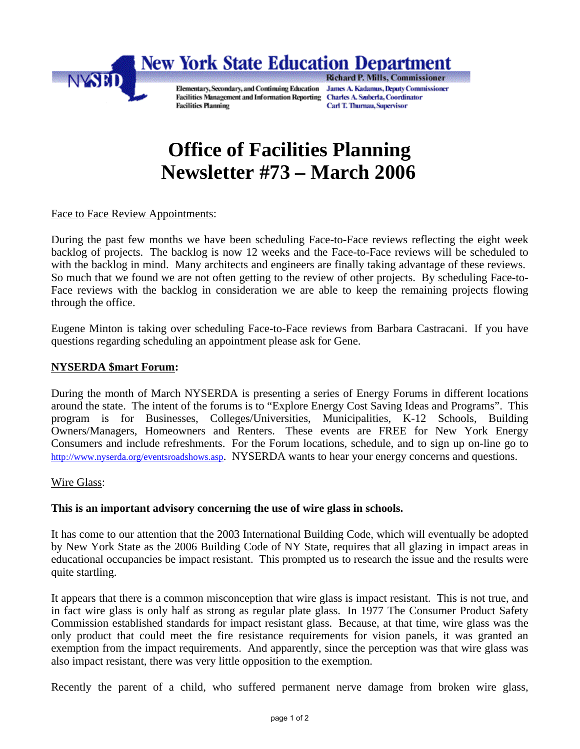

# **Office of Facilities Planning Newsletter #73 – March 2006**

## Face to Face Review Appointments:

During the past few months we have been scheduling Face-to-Face reviews reflecting the eight week backlog of projects. The backlog is now 12 weeks and the Face-to-Face reviews will be scheduled to with the backlog in mind. Many architects and engineers are finally taking advantage of these reviews. So much that we found we are not often getting to the review of other projects. By scheduling Face-to-Face reviews with the backlog in consideration we are able to keep the remaining projects flowing through the office.

Eugene Minton is taking over scheduling Face-to-Face reviews from Barbara Castracani. If you have questions regarding scheduling an appointment please ask for Gene.

#### **NYSERDA \$mart Forum:**

During the month of March NYSERDA is presenting a series of Energy Forums in different locations around the state. The intent of the forums is to "Explore Energy Cost Saving Ideas and Programs". This program is for Businesses, Colleges/Universities, Municipalities, K-12 Schools, Building Owners/Managers, Homeowners and Renters. These events are FREE for New York Energy Consumers and include refreshments. For the Forum locations, schedule, and to sign up on-line go to http://www.nyserda.org/eventsroadshows.asp. NYSERDA wants to hear your energy concerns and questions.

#### Wire Glass:

#### **This is an important advisory concerning the use of wire glass in schools.**

It has come to our attention that the 2003 International Building Code, which will eventually be adopted by New York State as the 2006 Building Code of NY State, requires that all glazing in impact areas in educational occupancies be impact resistant. This prompted us to research the issue and the results were quite startling.

It appears that there is a common misconception that wire glass is impact resistant. This is not true, and in fact wire glass is only half as strong as regular plate glass. In 1977 The Consumer Product Safety Commission established standards for impact resistant glass. Because, at that time, wire glass was the only product that could meet the fire resistance requirements for vision panels, it was granted an exemption from the impact requirements. And apparently, since the perception was that wire glass was also impact resistant, there was very little opposition to the exemption.

Recently the parent of a child, who suffered permanent nerve damage from broken wire glass,